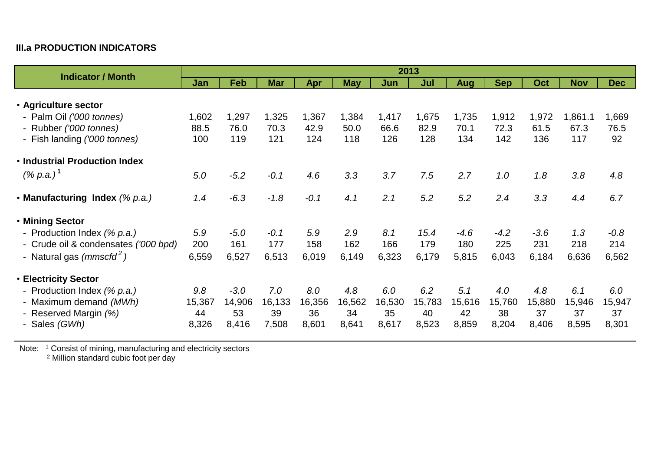## **III.a PRODUCTION INDICATORS**

| <b>Indicator / Month</b>             | 2013   |        |            |        |            |        |        |        |            |            |            |            |
|--------------------------------------|--------|--------|------------|--------|------------|--------|--------|--------|------------|------------|------------|------------|
|                                      | Jan    | Feb    | <b>Mar</b> | Apr    | <b>May</b> | Jun    | Jul    | Aug    | <b>Sep</b> | <b>Oct</b> | <b>Nov</b> | <b>Dec</b> |
|                                      |        |        |            |        |            |        |        |        |            |            |            |            |
| • Agriculture sector                 |        |        |            |        |            |        |        |        |            |            |            |            |
| - Palm Oil ('000 tonnes)             | 1,602  | 1,297  | 1,325      | 1,367  | 1,384      | 1,417  | 1,675  | 1,735  | 1,912      | 1,972      | 1,861.1    | 1,669      |
| - Rubber ('000 tonnes)               | 88.5   | 76.0   | 70.3       | 42.9   | 50.0       | 66.6   | 82.9   | 70.1   | 72.3       | 61.5       | 67.3       | 76.5       |
| - Fish landing ('000 tonnes)         | 100    | 119    | 121        | 124    | 118        | 126    | 128    | 134    | 142        | 136        | 117        | 92         |
| . Industrial Production Index        |        |        |            |        |            |        |        |        |            |            |            |            |
| $(% p.a.)^T$                         | 5.0    | $-5.2$ | $-0.1$     | 4.6    | 3.3        | 3.7    | 7.5    | 2.7    | 1.0        | 1.8        | 3.8        | 4.8        |
| • Manufacturing Index (% p.a.)       | 1.4    | $-6.3$ | $-1.8$     | $-0.1$ | 4.1        | 2.1    | 5.2    | 5.2    | 2.4        | 3.3        | 4.4        | 6.7        |
| • Mining Sector                      |        |        |            |        |            |        |        |        |            |            |            |            |
| - Production Index (% p.a.)          | 5.9    | $-5.0$ | $-0.1$     | 5.9    | 2.9        | 8.1    | 15.4   | $-4.6$ | $-4.2$     | $-3.6$     | 1.3        | $-0.8$     |
| - Crude oil & condensates ('000 bpd) | 200    | 161    | 177        | 158    | 162        | 166    | 179    | 180    | 225        | 231        | 218        | 214        |
| - Natural gas $(mmscfd^2)$           | 6,559  | 6,527  | 6,513      | 6,019  | 6,149      | 6,323  | 6,179  | 5,815  | 6,043      | 6,184      | 6,636      | 6,562      |
| <b>• Electricity Sector</b>          |        |        |            |        |            |        |        |        |            |            |            |            |
| - Production Index (% p.a.)          | 9.8    | $-3.0$ | 7.0        | 8.0    | 4.8        | 6.0    | 6.2    | 5.1    | 4.0        | 4.8        | 6.1        | 6.0        |
| - Maximum demand (MWh)               | 15,367 | 14,906 | 16,133     | 16,356 | 16,562     | 16,530 | 15,783 | 15,616 | 15,760     | 15,880     | 15,946     | 15,947     |
| - Reserved Margin (%)                | 44     | 53     | 39         | 36     | 34         | 35     | 40     | 42     | 38         | 37         | 37         | 37         |
| - Sales (GWh)                        | 8,326  | 8,416  | 7,508      | 8,601  | 8,641      | 8,617  | 8,523  | 8,859  | 8,204      | 8,406      | 8,595      | 8,301      |

Note: <sup>1</sup> Consist of mining, manufacturing and electricity sectors

<sup>2</sup> Million standard cubic foot per day